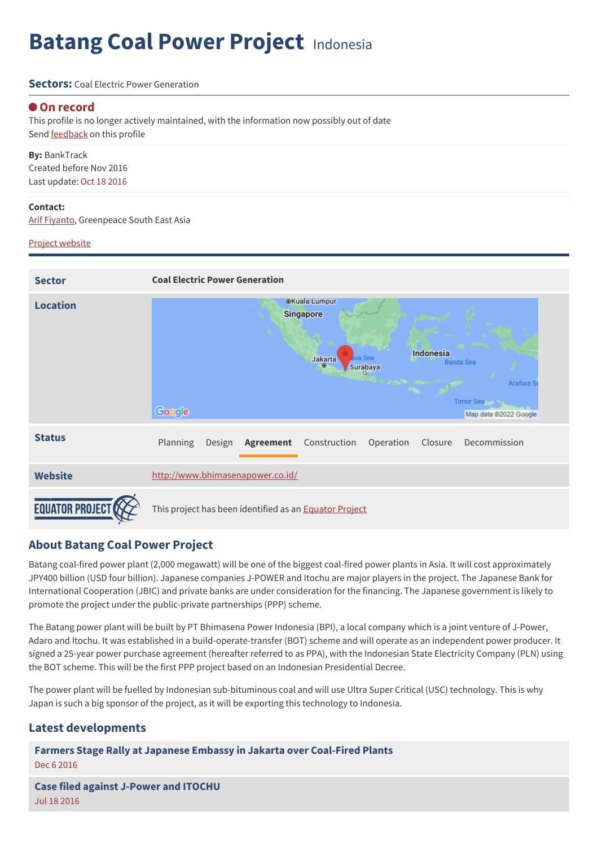# **Batang Coal Power Project** Indonesia

#### **Sectors:** Coal Flectric Power Generation

#### **On record**

This profile is no longer actively maintained, with the information now possibly out of date Send **[feedback](https://www.banktrack.org/feedback/dodgydeal/batang_coal_power_project)** on this profile

**By:** BankTrack Created before Nov 2016 Last update: Oct 18 2016

#### **Contact:**

Arif [Fiyanto](mailto:arif.fiyanto@greenpeace.org), Greenpeace South East Asia

#### Project [website](http://www.bhimasenapower.co.id/)



## **About Batang Coal Power Project**

Batang coal-fired power plant (2,000 megawatt) will be one of the biggest coal-fired power plants in Asia. It will cost approximately JPY400 billion (USD four billion). Japanese companies J-POWER and Itochu are major players in the project. The Japanese Bank for International Cooperation (JBIC) and private banks are under consideration for the financing. The Japanese government is likely to promote the project under the public-private partnerships (PPP) scheme.

The Batang power plant will be built by PT Bhimasena Power Indonesia (BPI), a local company which is a joint venture of J-Power, Adaro and Itochu. It was established in a build-operate-transfer (BOT) scheme and will operate as an independent power producer. It signed a 25-year power purchase agreement (hereafter referred to as PPA), with the Indonesian State Electricity Company (PLN) using the BOT scheme. This will be the first PPP project based on an Indonesian Presidential Decree.

The power plant will be fuelled by Indonesian sub-bituminous coal and will use Ultra Super Critical (USC) technology. This is why Japan is such a big sponsor of the project, as it will be exporting this technology to Indonesia.

#### **Latest developments**

**Farmers Stage Rally at Japanese Embassy in Jakarta over [Coal-Fired](javascript:void(0)) Plants** Dec 6 2016

**Case filed against [J-Power](javascript:void(0)) and ITOCHU** Jul 18 2016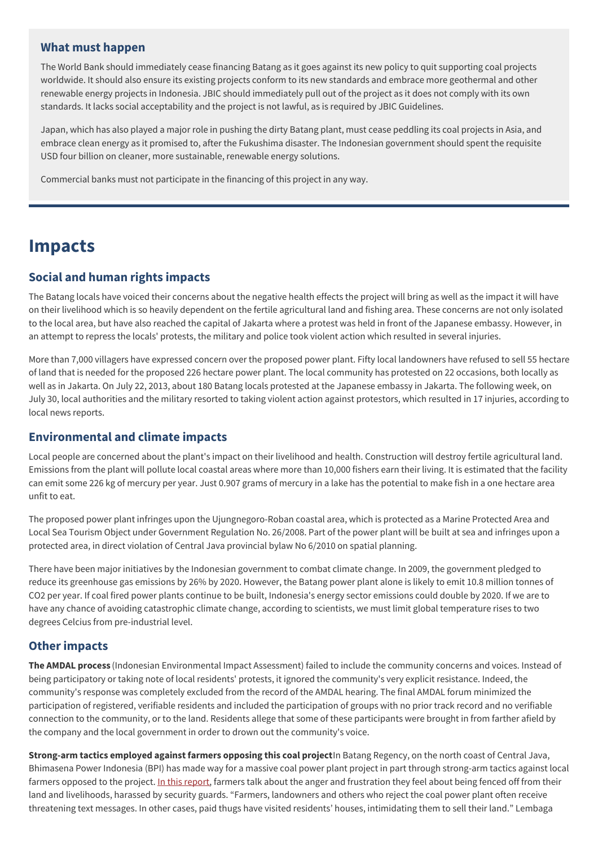#### **What must happen**

The World Bank should immediately cease financing Batang as it goes against its new policy to quit supporting coal projects worldwide. It should also ensure its existing projects conform to its new standards and embrace more geothermal and other renewable energy projects in Indonesia. JBIC should immediately pull out of the project as it does not comply with its own standards. It lacks social acceptability and the project is not lawful, as is required by JBIC Guidelines.

Japan, which has also played a major role in pushing the dirty Batang plant, must cease peddling its coal projects in Asia, and embrace clean energy as it promised to, after the Fukushima disaster. The Indonesian government should spent the requisite USD four billion on cleaner, more sustainable, renewable energy solutions.

Commercial banks must not participate in the financing of this project in any way.

## **Impacts**

## **Social and human rights impacts**

The Batang locals have voiced their concerns about the negative health effects the project will bring as well as the impact it will have on their livelihood which is so heavily dependent on the fertile agricultural land and fishing area. These concerns are not only isolated to the local area, but have also reached the capital of Jakarta where a protest was held in front of the Japanese embassy. However, in an attempt to repress the locals' protests, the military and police took violent action which resulted in several injuries.

More than 7,000 villagers have expressed concern over the proposed power plant. Fifty local landowners have refused to sell 55 hectare of land that is needed for the proposed 226 hectare power plant. The local community has protested on 22 occasions, both locally as well as in Jakarta. On July 22, 2013, about 180 Batang locals protested at the Japanese embassy in Jakarta. The following week, on July 30, local authorities and the military resorted to taking violent action against protestors, which resulted in 17 injuries, according to local news reports.

## **Environmental and climate impacts**

Local people are concerned about the plant's impact on their livelihood and health. Construction will destroy fertile agricultural land. Emissions from the plant will pollute local coastal areas where more than 10,000 fishers earn their living. It is estimated that the facility can emit some 226 kg of mercury per year. Just 0.907 grams of mercury in a lake has the potential to make fish in a one hectare area unfit to eat.

The proposed power plant infringes upon the Ujungnegoro-Roban coastal area, which is protected as a Marine Protected Area and Local Sea Tourism Object under Government Regulation No. 26/2008. Part of the power plant will be built at sea and infringes upon a protected area, in direct violation of Central Java provincial bylaw No 6/2010 on spatial planning.

There have been major initiatives by the Indonesian government to combat climate change. In 2009, the government pledged to reduce its greenhouse gas emissions by 26% by 2020. However, the Batang power plant alone is likely to emit 10.8 million tonnes of CO2 per year. If coal fired power plants continue to be built, Indonesia's energy sector emissions could double by 2020. If we are to have any chance of avoiding catastrophic climate change, according to scientists, we must limit global temperature rises to two degrees Celcius from pre-industrial level.

## **Other impacts**

**The AMDAL process** (Indonesian Environmental Impact Assessment) failed to include the community concerns and voices. Instead of being participatory or taking note of local residents' protests, it ignored the community's very explicit resistance. Indeed, the community's response was completely excluded from the record of the AMDAL hearing. The final AMDAL forum minimized the participation of registered, verifiable residents and included the participation of groups with no prior track record and no verifiable connection to the community, or to the land. Residents allege that some of these participants were brought in from farther afield by the company and the local government in order to drown out the community's voice.

**Strong-arm tactics employed against farmers opposing this coal project**In Batang Regency, on the north coast of Central Java, Bhimasena Power Indonesia (BPI) has made way for a massive coal power plant project in part through strong-arm tactics against local farmers opposed to the project. In this [report](http://www.corruptionincoal.org/2016/10/20/strong-arm-tactics-employed-against-farmers-opposing-a-coal-project/), farmers talk about the anger and frustration they feel about being fenced off from their land and livelihoods, harassed by security guards. "Farmers, landowners and others who reject the coal power plant often receive threatening text messages. In other cases, paid thugs have visited residents' houses, intimidating them to sell their land." Lembaga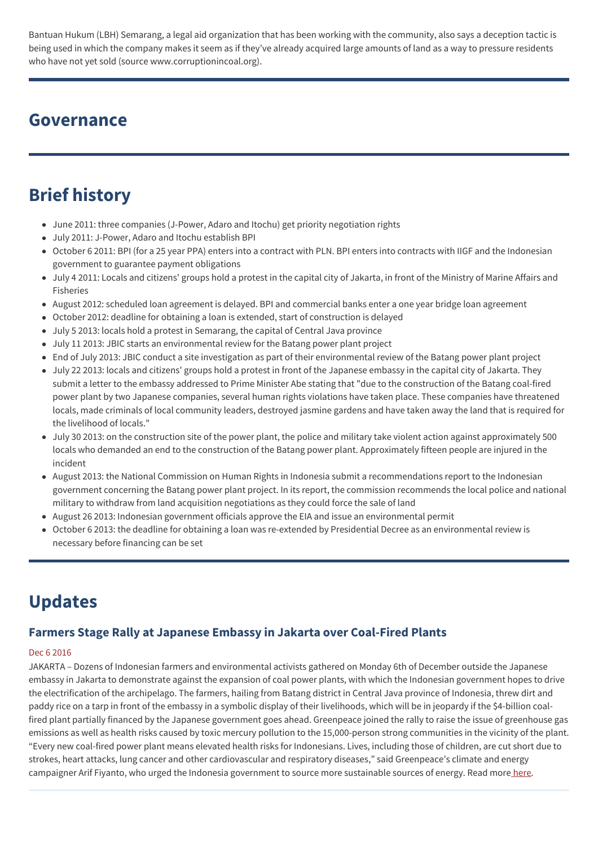Bantuan Hukum (LBH) Semarang, a legal aid organization that has been working with the community, also says a deception tactic is being used in which the company makes it seem as if they've already acquired large amounts of land as a way to pressure residents who have not yet sold (source www.corruptionincoal.org).

## **Governance**

## **Brief history**

- June 2011: three companies (J-Power, Adaro and Itochu) get priority negotiation rights
- July 2011: J-Power, Adaro and Itochu establish BPI
- October 6 2011: BPI (for a 25 year PPA) enters into a contract with PLN. BPI enters into contracts with IIGF and the Indonesian government to guarantee payment obligations
- July 4 2011: Locals and citizens' groups hold a protest in the capital city of Jakarta, in front of the Ministry of Marine Affairs and Fisheries
- August 2012: scheduled loan agreement is delayed. BPI and commercial banks enter a one year bridge loan agreement
- October 2012: deadline for obtaining a loan is extended, start of construction is delayed
- July 5 2013: locals hold a protest in Semarang, the capital of Central Java province
- July 11 2013: JBIC starts an environmental review for the Batang power plant project
- End of July 2013: JBIC conduct a site investigation as part of their environmental review of the Batang power plant project
- July 22 2013: locals and citizens' groups hold a protest in front of the Japanese embassy in the capital city of Jakarta. They submit a letter to the embassy addressed to Prime Minister Abe stating that "due to the construction of the Batang coal-fired power plant by two Japanese companies, several human rights violations have taken place. These companies have threatened locals, made criminals of local community leaders, destroyed jasmine gardens and have taken away the land that is required for the livelihood of locals."
- July 30 2013: on the construction site of the power plant, the police and military take violent action against approximately 500 locals who demanded an end to the construction of the Batang power plant. Approximately fifteen people are injured in the incident
- August 2013: the National Commission on Human Rights in Indonesia submit a recommendations report to the Indonesian government concerning the Batang power plant project. In its report, the commission recommends the local police and national military to withdraw from land acquisition negotiations as they could force the sale of land
- August 26 2013: Indonesian government officials approve the EIA and issue an environmental permit
- October 6 2013: the deadline for obtaining a loan was re-extended by Presidential Decree as an environmental review is necessary before financing can be set

## **Updates**

## **Farmers Stage Rally at Japanese Embassy in Jakarta over Coal-Fired Plants**

#### Dec 6 2016

JAKARTA – Dozens of Indonesian farmers and environmental activists gathered on Monday 6th of December outside the Japanese embassy in Jakarta to demonstrate against the expansion of coal power plants, with which the Indonesian government hopes to drive the electrification of the archipelago. The farmers, hailing from Batang district in Central Java province of Indonesia, threw dirt and paddy rice on a tarp in front of the embassy in a symbolic display of their livelihoods, which will be in jeopardy if the \$4-billion coalfired plant partially financed by the Japanese government goes ahead. Greenpeace joined the rally to raise the issue of greenhouse gas emissions as well as health risks caused by toxic mercury pollution to the 15,000-person strong communities in the vicinity of the plant. "Every new coal-fired power plant means elevated health risks for Indonesians. Lives, including those of children, are cut short due to strokes, heart attacks, lung cancer and other cardiovascular and respiratory diseases," said Greenpeace's climate and energy campaigner Arif Fiyanto, who urged the Indonesia government to source more sustainable sources of energy. Read more [here](http://laht.com/article.asp?ArticleId=2426543&CategoryId=13936).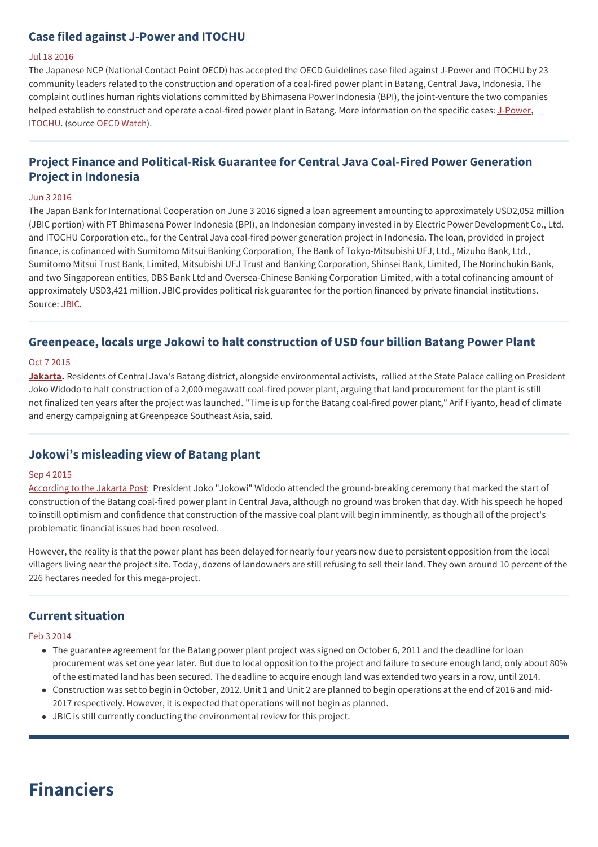## **Case filed against J-Power and ITOCHU**

#### Jul 18 2016

The Japanese NCP (National Contact Point OECD) has accepted the OECD Guidelines case filed against J-Power and ITOCHU by 23 community leaders related to the construction and operation of a coal-fired power plant in Batang, Central Java, Indonesia. The complaint outlines human rights violations committed by Bhimasena Power Indonesia (BPI), the joint-venture the two companies helped establish to construct and operate a coal-fired power plant in Batang. More information on the specific cases: [J-Power](http://www.oecdwatch.org/cases/Case_433), [ITOCHU](http://www.oecdwatch.org/cases/Case_432). (source OECD [Watch](http://www.oecdwatch.org/)).

## **Project Finance and Political-Risk Guarantee for Central Java Coal-Fired Power Generation Project in Indonesia**

#### Jun 3 2016

The Japan Bank for International Cooperation on June 3 2016 signed a loan agreement amounting to approximately USD2,052 million (JBIC portion) with PT Bhimasena Power Indonesia (BPI), an Indonesian company invested in by Electric Power Development Co., Ltd. and ITOCHU Corporation etc., for the Central Java coal-fired power generation project in Indonesia. The loan, provided in project finance, is cofinanced with Sumitomo Mitsui Banking Corporation, The Bank of Tokyo-Mitsubishi UFJ, Ltd., Mizuho Bank, Ltd., Sumitomo Mitsui Trust Bank, Limited, Mitsubishi UFJ Trust and Banking Corporation, Shinsei Bank, Limited, The Norinchukin Bank, and two Singaporean entities, DBS Bank Ltd and Oversea-Chinese Banking Corporation Limited, with a total cofinancing amount of approximately USD3,421 million. JBIC provides political risk guarantee for the portion financed by private financial institutions. Source: [JBIC](http://www.jbic.go.jp/en/information/press/press-2016/0603-48595).

## **Greenpeace, locals urge Jokowi to halt construction of USD four billion Batang Power Plant**

#### Oct 7 2015

**[Jakarta](http://jakartaglobe.beritasatu.com/news/greenpeace-locals-urge-jokowi-halt-construction-4b-batang-power-plant/).** Residents of Central Java's Batang district, alongside environmental activists, rallied at the State Palace calling on President Joko Widodo to halt construction of a 2,000 megawatt coal-fired power plant, arguing that land procurement for the plant is still not finalized ten years after the project was launched. "Time is up for the Batang coal-fired power plant," Arif Fiyanto, head of climate and energy campaigning at Greenpeace Southeast Asia, said.

## **Jokowi's misleading view of Batang plant**

#### Sep 4 2015

[According](http://www.thejakartapost.com/news/2015/09/04/jokowi-s-misleading-view-batang-plant.html) to the Jakarta Post: President Joko "Jokowi" Widodo attended the ground-breaking ceremony that marked the start of construction of the Batang coal-fired power plant in Central Java, although no ground was broken that day. With his speech he hoped to instill optimism and confidence that construction of the massive coal plant will begin imminently, as though all of the project's problematic financial issues had been resolved.

However, the reality is that the power plant has been delayed for nearly four years now due to persistent opposition from the local villagers living near the project site. Today, dozens of landowners are still refusing to sell their land. They own around 10 percent of the 226 hectares needed for this mega-project.

## **Current situation**

#### Feb 3 2014

- The guarantee agreement for the Batang power plant project was signed on October 6, 2011 and the deadline for loan procurement was set one year later. But due to local opposition to the project and failure to secure enough land, only about 80% of the estimated land has been secured. The deadline to acquire enough land was extended two years in a row, until 2014.
- Construction was set to begin in October, 2012. Unit 1 and Unit 2 are planned to begin operations at the end of 2016 and mid-2017 respectively. However, it is expected that operations will not begin as planned.
- JBIC is still currently conducting the environmental review for this project.

## **Financiers**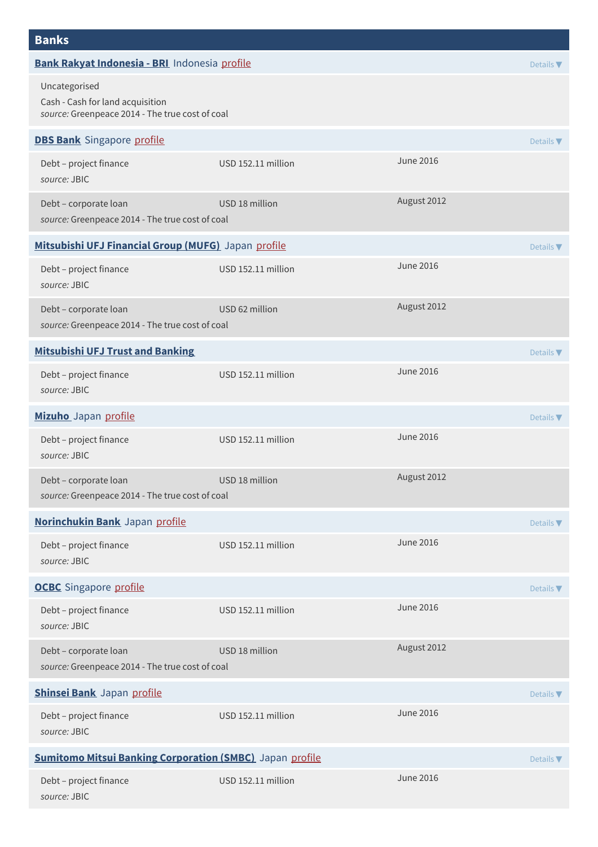| <b>Banks</b>                                                                                         |                    |                  |                  |
|------------------------------------------------------------------------------------------------------|--------------------|------------------|------------------|
| Bank Rakyat Indonesia - BRI Indonesia profile                                                        |                    |                  | Details $\nabla$ |
| Uncategorised<br>Cash - Cash for land acquisition<br>source: Greenpeace 2014 - The true cost of coal |                    |                  |                  |
| <b>DBS Bank</b> Singapore profile                                                                    |                    |                  | Details $\nabla$ |
| Debt - project finance<br>source: JBIC                                                               | USD 152.11 million | <b>June 2016</b> |                  |
| Debt - corporate loan<br>source: Greenpeace 2014 - The true cost of coal                             | USD 18 million     | August 2012      |                  |
| Mitsubishi UFJ Financial Group (MUFG) Japan profile                                                  |                    |                  | Details $\nabla$ |
| Debt - project finance<br>source: JBIC                                                               | USD 152.11 million | <b>June 2016</b> |                  |
| Debt - corporate loan<br>source: Greenpeace 2014 - The true cost of coal                             | USD 62 million     | August 2012      |                  |
| <b>Mitsubishi UFJ Trust and Banking</b>                                                              |                    |                  | Details $\nabla$ |
| Debt - project finance<br>source: JBIC                                                               | USD 152.11 million | <b>June 2016</b> |                  |
| Mizuho Japan profile                                                                                 |                    |                  | Details $\nabla$ |
| Debt - project finance<br>source: JBIC                                                               | USD 152.11 million | June 2016        |                  |
| Debt - corporate loan<br>source: Greenpeace 2014 - The true cost of coal                             | USD 18 million     | August 2012      |                  |
| Norinchukin Bank Japan profile                                                                       |                    |                  | Details V        |
| Debt - project finance<br>source: JBIC                                                               | USD 152.11 million | <b>June 2016</b> |                  |
| <b>OCBC</b> Singapore profile                                                                        |                    |                  | Details $\nabla$ |
| Debt - project finance<br>source: JBIC                                                               | USD 152.11 million | <b>June 2016</b> |                  |
| Debt - corporate loan<br>source: Greenpeace 2014 - The true cost of coal                             | USD 18 million     | August 2012      |                  |
| Shinsei Bank Japan profile                                                                           |                    |                  | Details $\nabla$ |
| Debt - project finance<br>source: JBIC                                                               | USD 152.11 million | <b>June 2016</b> |                  |
| <b>Sumitomo Mitsui Banking Corporation (SMBC)</b> Japan profile<br>Details $\nabla$                  |                    |                  |                  |
| Debt - project finance<br>source: JBIC                                                               | USD 152.11 million | <b>June 2016</b> |                  |